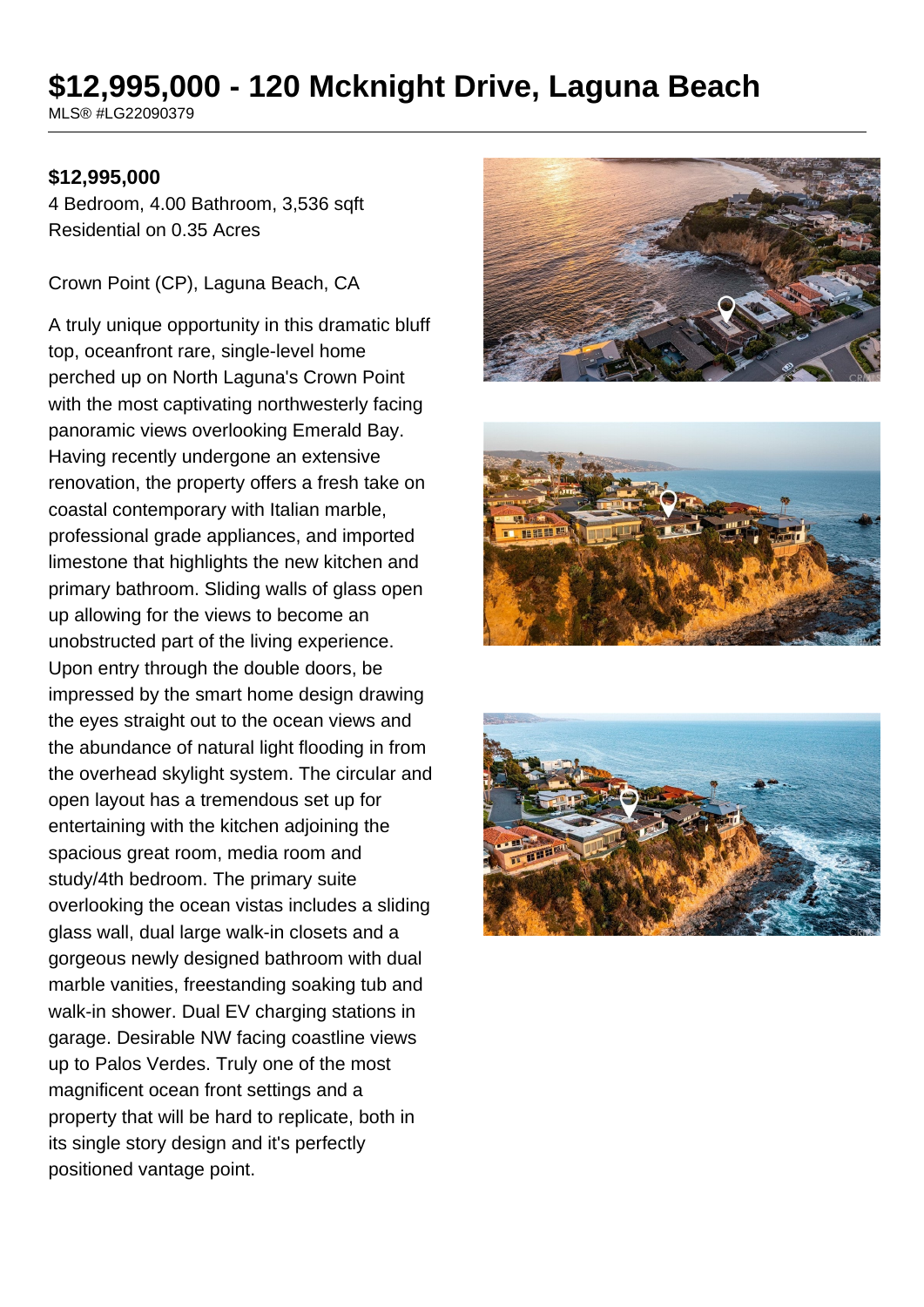# **\$12,995,000 - 120 Mcknight Drive, Laguna Beach**

MLS® #LG22090379

#### **\$12,995,000**

4 Bedroom, 4.00 Bathroom, 3,536 sqft Residential on 0.35 Acres

Crown Point (CP), Laguna Beach, CA

A truly unique opportunity in this dramatic bluff top, oceanfront rare, single-level home perched up on North Laguna's Crown Point with the most captivating northwesterly facing panoramic views overlooking Emerald Bay. Having recently undergone an extensive renovation, the property offers a fresh take on coastal contemporary with Italian marble, professional grade appliances, and imported limestone that highlights the new kitchen and primary bathroom. Sliding walls of glass open up allowing for the views to become an unobstructed part of the living experience. Upon entry through the double doors, be impressed by the smart home design drawing the eyes straight out to the ocean views and the abundance of natural light flooding in from the overhead skylight system. The circular and open layout has a tremendous set up for entertaining with the kitchen adjoining the spacious great room, media room and study/4th bedroom. The primary suite overlooking the ocean vistas includes a sliding glass wall, dual large walk-in closets and a gorgeous newly designed bathroom with dual marble vanities, freestanding soaking tub and walk-in shower. Dual EV charging stations in garage. Desirable NW facing coastline views up to Palos Verdes. Truly one of the most magnificent ocean front settings and a property that will be hard to replicate, both in its single story design and it's perfectly positioned vantage point.





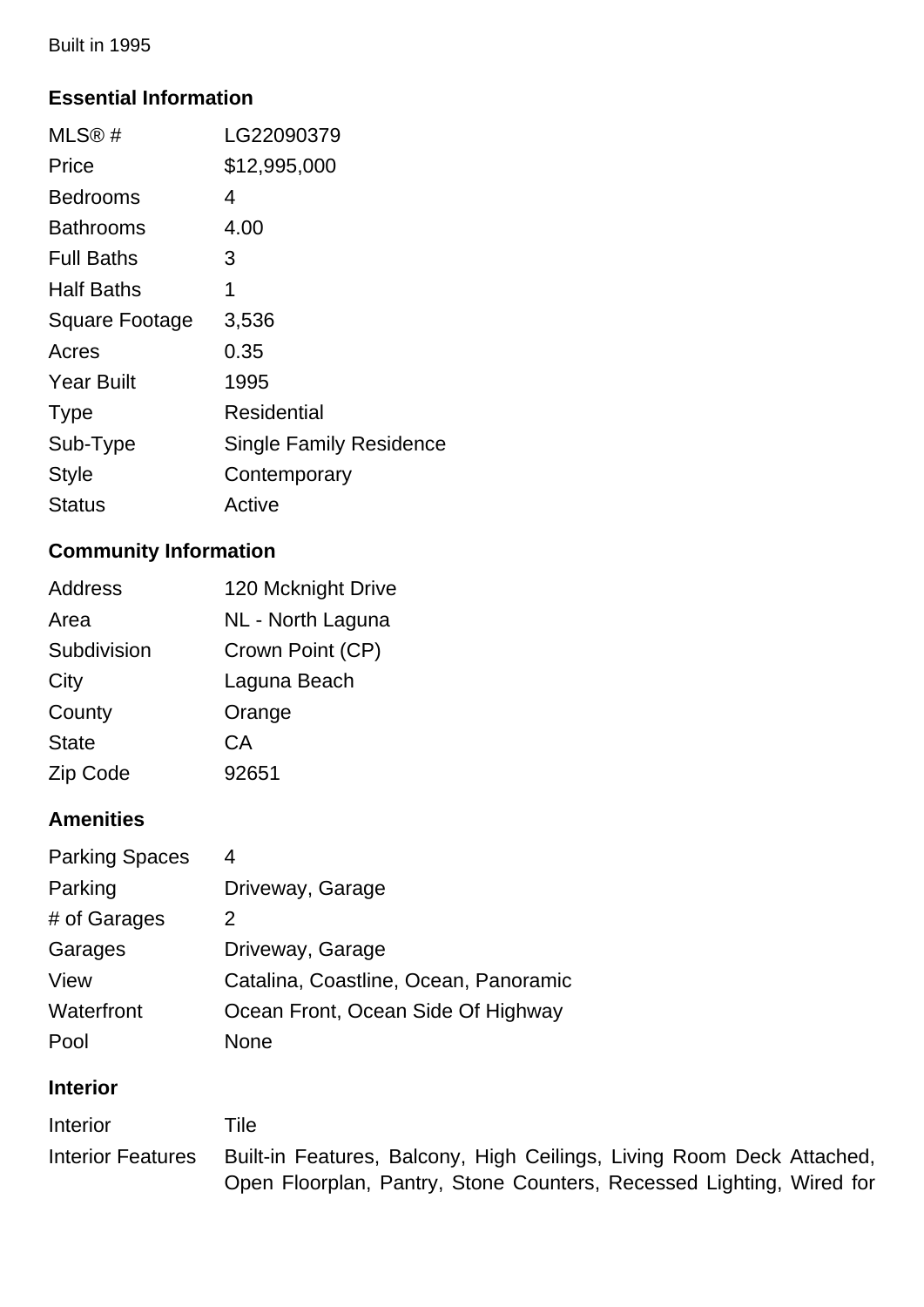Built in 1995

## **Essential Information**

| MLS@#                 | LG22090379                     |
|-----------------------|--------------------------------|
| Price                 | \$12,995,000                   |
| <b>Bedrooms</b>       | 4                              |
| <b>Bathrooms</b>      | 4.00                           |
| <b>Full Baths</b>     | З                              |
| <b>Half Baths</b>     | 1                              |
| <b>Square Footage</b> | 3,536                          |
| Acres                 | 0.35                           |
| <b>Year Built</b>     | 1995                           |
| <b>Type</b>           | Residential                    |
| Sub-Type              | <b>Single Family Residence</b> |
| <b>Style</b>          | Contemporary                   |
| Status                | Active                         |
|                       |                                |

## **Community Information**

| <b>Address</b> | 120 Mcknight Drive |
|----------------|--------------------|
| Area           | NL - North Laguna  |
| Subdivision    | Crown Point (CP)   |
| City           | Laguna Beach       |
| County         | Orange             |
| <b>State</b>   | СA                 |
| Zip Code       | 92651              |
|                |                    |

## **Amenities**

| <b>Parking Spaces</b> | 4                                     |
|-----------------------|---------------------------------------|
| Parking               | Driveway, Garage                      |
| # of Garages          | 2                                     |
| Garages               | Driveway, Garage                      |
| View                  | Catalina, Coastline, Ocean, Panoramic |
| Waterfront            | Ocean Front, Ocean Side Of Highway    |
| Pool                  | None                                  |

## **Interior**

| Interior                 | Tile                                                                  |
|--------------------------|-----------------------------------------------------------------------|
| <b>Interior Features</b> | Built-in Features, Balcony, High Ceilings, Living Room Deck Attached, |
|                          | Open Floorplan, Pantry, Stone Counters, Recessed Lighting, Wired for  |